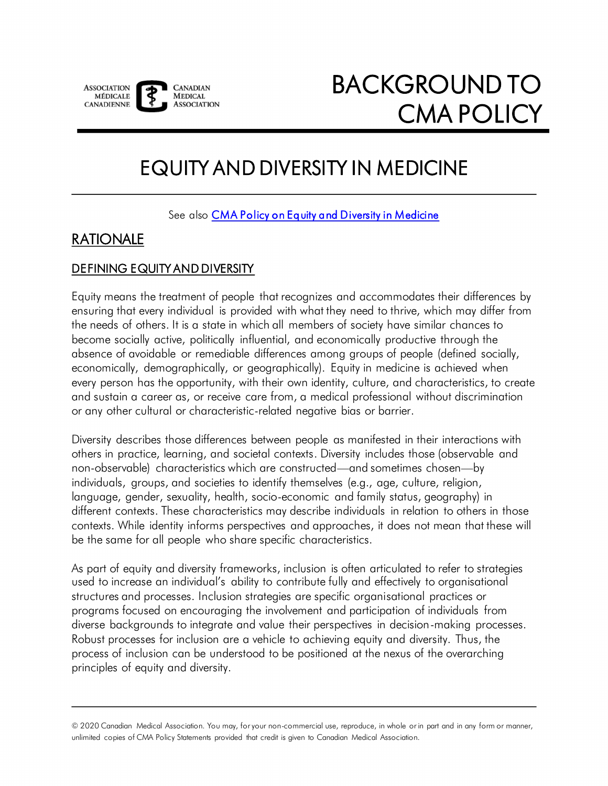

# EQUITY AND DIVERSITY IN MEDICINE

See also **CMA Policy on Equity and Diversity in Medicine** 

# RATIONALE

# DEFINING EQUITY AND DIVERSITY

Equity means the treatment of people that recognizes and accommodates their differences by ensuring that every individual is provided with what they need to thrive, which may differ from the needs of others. It is a state in which all members of society have similar chances to become socially active, politically influential, and economically productive through the absence of avoidable or remediable differences among groups of people (defined socially, economically, demographically, or geographically). Equity in medicine is achieved when every person has the opportunity, with their own identity, culture, and characteristics, to create and sustain a career as, or receive care from, a medical professional without discrimination or any other cultural or characteristic-related negative bias or barrier.

Diversity describes those differences between people as manifested in their interactions with others in practice, learning, and societal contexts. Diversity includes those (observable and non-observable) characteristics which are constructed—and sometimes chosen—by individuals, groups, and societies to identify themselves (e.g., age, culture, religion, language, gender, sexuality, health, socio-economic and family status, geography) in different contexts. These characteristics may describe individuals in relation to others in those contexts. While identity informs perspectives and approaches, it does not mean that these will be the same for all people who share specific characteristics.

 used to increase an individual's ability to contribute fully and effectively to organisational As part of equity and diversity frameworks, inclusion is often articulated to refer to strategies structures and processes. Inclusion strategies are specific organisational practices or programs focused on encouraging the involvement and participation of individuals from diverse backgrounds to integrate and value their perspectives in decision-making processes. Robust processes for inclusion are a vehicle to achieving equity and diversity. Thus, the process of inclusion can be understood to be positioned at the nexus of the overarching principles of equity and diversity.

<sup>© 2020</sup> Canadian Medical Association. You may, for your non-commercial use, reproduce, in whole or in part and in any form or manner, unlimited copies of CMA Policy Statements provided that credit is given to Canadian Medical Association.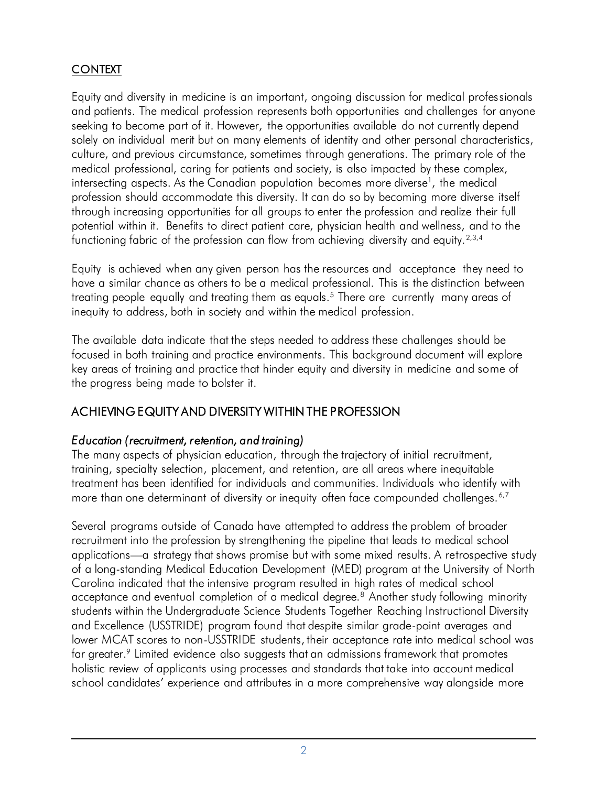# **CONTEXT**

 Equity and diversity in medicine is an important, ongoing discussion for medical professionals and patients. The medical profession represents both opportunities and challenges for anyone seeking to become part of it. However, the opportunities available do not currently depend solely on individual merit but on many elements of identity and other personal characteristics, culture, and previous circumstance, sometimes through generations. The primary role of the medical professional, caring for patients and society, is also impacted by these complex, intersecting aspects. As the Canadian population becomes more diverse<sup>1</sup>, the medical profession should accommodate this diversity. It can do so by becoming more diverse itself through increasing opportunities for all groups to enter the profession and realize their full potential within it. Benefits to direct patient care, physician health and wellness, and to the functioning fabric of the profession can flow from achieving diversity and equity. $2,3,4$  $2,3,4$  $2,3,4$ 

 Equity is achieved when any given person has the resources and acceptance they need to have a similar chance as others to be a medical professional. This is the distinction between treating people equally and treating them as equals.<sup>5</sup> There are currently many areas of inequity to address, both in society and within the medical profession.

 The available data indicate that the steps needed to address these challenges should be focused in both training and practice environments. This background document will explore key areas of training and practice that hinder equity and diversity in medicine and some of the progress being made to bolster it.

# ACHIEVING EQUITY AND DIVERSITY WITHIN THE PROFESSION

#### *Education (recruitment, retention, and training)*

 The many aspects of physician education, through the trajectory of initial recruitment, training, specialty selection, placement, and retention, are all areas where inequitable treatment has been identified for individuals and communities. Individuals who identify with more than one determinant of diversity or inequity often face compounded challenges.  $6,7$  $6,7$ 

 Several programs outside of Canada have attempted to address the problem of broader recruitment into the profession by strengthening the pipeline that leads to medical school applications—a strategy that shows promise but with some mixed results. A retrospective study of a long-standing Medical Education Development (MED) program at the University of North Carolina indicated that the intensive program resulted in high rates of medical school acceptance and eventual completion of a medical degree.<sup>[8](#page-13-7)</sup> Another study following minority students within the Undergraduate Science Students Together Reaching Instructional Diversity and Excellence (USSTRIDE) program found that despite similar grade-point averages and lower MCAT scores to non-USSTRIDE students, their acceptance rate into medical school was far greater.<sup>9</sup> Limited evidence also suggests that an admissions framework that promotes holistic review of applicants using processes and standards that take into account medical school candidates' experience and attributes in a more comprehensive way alongside more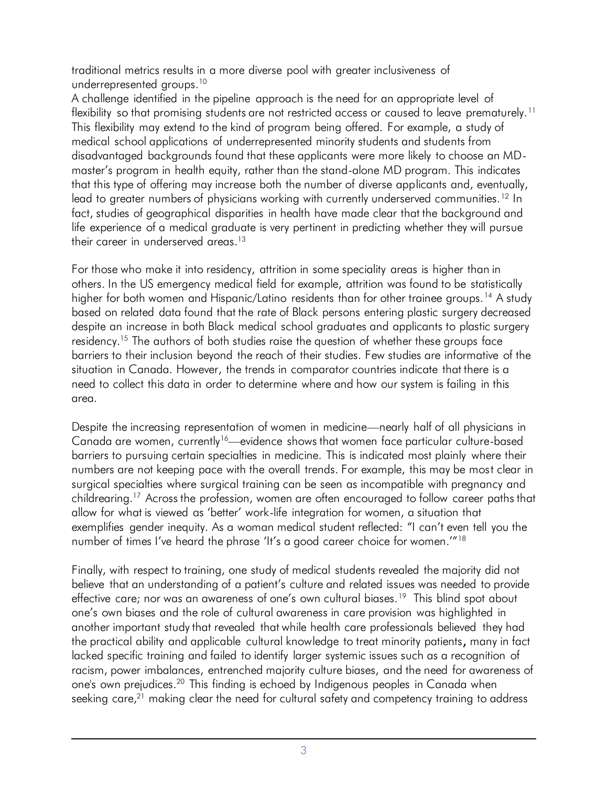<span id="page-2-0"></span>traditional metrics results in a more diverse pool with greater inclusiveness of underrepresented groups.<sup>10</sup>

 A challenge identified in the pipeline approach is the need for an appropriate level of flexibility so that promising students are not restricted access or caused to leave prematurely.  $^{\text{11}}$  fact, studies of geographical disparities in health have made clear that the background and life experience of a medical graduate is very pertinent in predicting whether they will pursue their career in underserved areas. $^{\text{13}}$  This flexibility may extend to the kind of program being offered. For example, a study of medical school applications of underrepresented minority students and students from disadvantaged backgrounds found that these applicants were more likely to choose an MD- master's program in health equity, rather than the stand-alone MD program. This indicates that this type of offering may increase both the number of diverse applicants and, eventually, lead to greater numbers of physicians working with currently underserved communities.<sup>12</sup> In traditional metrics results in a more diverse pool with greater inclusiveness of<br>Architeprosented groups.<sup>10</sup><br>Architeprosented groups in the pipeline approach is the need for an appropriate<br>Hashilly so that promising suder

 For those who make it into residency, attrition in some speciality areas is higher than in others. In the US emergency medical field for example, attrition was found to be statistically higher for both women and Hispanic/Latino residents than for other trainee groups.<sup>14</sup> A study based on related data found that the rate of Black persons entering plastic surgery decreased despite an increase in both Black medical school graduates and applicants to plastic surgery residency.<sup>15</sup> The authors of both studies raise the question of whether these groups face barriers to their inclusion beyond the reach of their studies. Few studies are informative of the situation in Canada. However, the trends in comparator countries indicate that there is a need to collect this data in order to determine where and how our system is failing in this area.

 Despite the increasing representation of women in medicine—nearly half of all physicians in Canada are women, currently<sup>[16](#page-13-15)</sup>—evidence shows that women face particular culture-based barriers to pursuing certain specialties in medicine. This is indicated most plainly where their numbers are not keeping pace with the overall trends. For example, this may be most clear in surgical specialties where surgical training can be seen as incompatible with pregnancy and childrearing.<sup>17</sup> Across the profession, women are often encouraged to follow career paths that allow for what is viewed as 'better' work-life integration for women, a situation that number of times I've heard the phrase 'It's a good career choice for women.'"[18](#page-13-15)  for w<br>plifies<br>per of exemplifies gender inequity. As a woman medical student reflected: "I can't even tell you the

effective care; nor was an awareness of one's own cultural biases.<sup>19</sup> This blind spot about one's own biases and the role of cultural awareness in care provision was highlighted in another important study that revealed that while health care professionals believed they had the practical ability and applicable cultural knowledge to treat minority patients, many in fact lacked specific training and failed to identify larger systemic issues such as a recognition of racism, power imbalances, entrenched majority culture biases, and the need for awareness of one's own prejudices[.20](#page-13-15) This finding is echoed by Indigenous peoples in Canada when seeking care,<sup>21</sup> making clear the need for cultural safety and competency training to address Finally, with respect to training, one study of medical students revealed the majority did not believe that an understanding of a patient's culture and related issues was needed to provide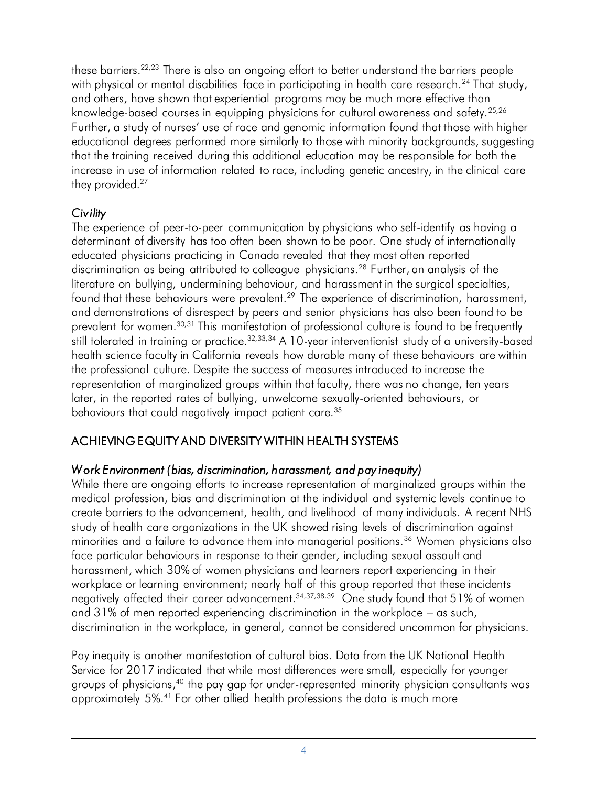physical or mental disabilities face in participating in health care research.<sup>24</sup> That and others, have shown that experiential programs may be much more effective than knowledge-based courses in equipping physicians for cultural awareness and safety.<sup>25,26</sup> Further, a study of nurses' use of race and genomic information found that those with higher educational degrees performed more similarly to those with minority backgrounds, suggesting that the training received during this additional education may be responsible for both the increase in use of information related to race, including genetic ancestry, in the clinical care these barriers.<sup>22,23</sup> There is also an ongoing effort to better understand the barriers people these barriers.<sup>22,23</sup> There is also an ongoing effort to better understand the barriers people<br>with physical or mental disabilities face in participating in health care research.<sup>24</sup> That stude<br>and others, have shown that with physical or mental disabilities face in participating in health care research. $^{24}$  That study, they provided.<sup>27</sup>

# *Civility*

 The experience of peer-to-peer communication by physicians who self-identify as having a determinant of diversity has too often been shown to be poor. One study of internationally educated physicians practicing in Canada revealed that they most often reported discrimination as being attributed to colleague physicians.<sup>28</sup> Further, an analysis of the literature on bullying, undermining behaviour, and harassment in the surgical specialties, found that these behaviours were prevalent.<sup>29</sup> The experience of discrimination, harassment, and demonstrations of disrespect by peers and senior physicians has also been found to be prevalent for women.<sup>30,31</sup> This manifestation of professional culture is found to be frequently still tolerated in training or practice. $32,33,34$  $32,33,34$  $32,33,34$  A 10-year interventionist study of a university-based health science faculty in California reveals how durable many of these behaviours are within the professional culture. Despite the success of measures introduced to increase the representation of marginalized groups within that faculty, there was no change, ten years later, in the reported rates of bullying, unwelcome sexually-oriented behaviours, or behaviours that could negatively impact patient care.<sup>35</sup>

# ACHIEVING EQUITY AND DIVERSITY WITHIN HEALTH SYSTEMS

# *Work Environment (bias, discrimination, harassment, and pay inequity)*

 While there are ongoing efforts to increase representation of marginalized groups within the medical profession, bias and discrimination at the individual and systemic levels continue to create barriers to the advancement, health, and livelihood of many individuals. A recent NHS study of health care organizations in the UK showed rising levels of discrimination against minorities and a failure to advance them into managerial positions.<sup>36</sup> Women physicians also face particular behaviours in response to their gender, including sexual assault and harassment, which 30% of women physicians and learners report experiencing in their workplace or learning environment; nearly half of this group reported that these incidents negatively affected their career advancement.<sup>34[,37](#page-14-12),[38](#page-14-13),39</sup> One study found that 51% of women and 31% of men reported experiencing discrimination in the workplace – as such, discrimination in the workplace, in general, cannot be considered uncommon for physicians.

 Pay inequity is another manifestation of cultural bias. Data from the UK National Health Service for 2017 indicated that while most differences were small, especially for younger groups of physicians,<sup>40</sup> the pay gap for under-represented minority physician consultants was approximately 5%.<sup>41</sup> For other allied health professions the data is much more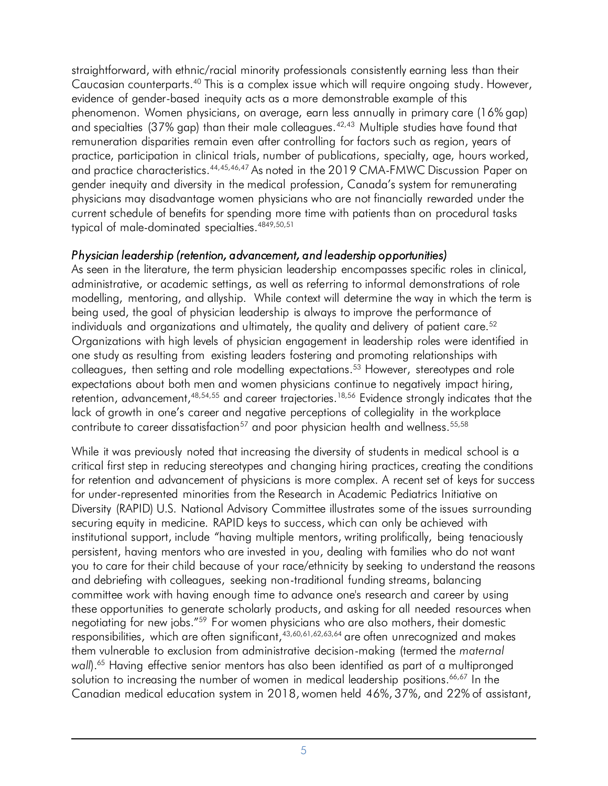straightforward, with ethnic/racial minority professionals consistently earning less than their Caucasian counterparts.<sup>40</sup> This is a complex issue which will require ongoing study. However, evidence of gender-based inequity acts as a more demonstrable example of this phenomenon. Women physicians, on average, earn less annually in primary care (16% gap) and specialties (37% gap) than their male colleagues.<sup>42,43</sup> Multiple studies have found that remuneration disparities remain even after controlling for factors such as region, years of practice, participation in clinical trials, number of publications, specialty, age, hours worked, and practice characteristics.<sup>44,45,46,47</sup> As noted in the 2019 CMA-FMWC Discussion Paper on gender inequity and diversity in the medical profession, Canada's system for remunerating physicians may disadvantage women physicians who are not financially rewarded under the current schedule of benefits for spending more time with patients than on procedural tasks typical of male-dominated specialties[.4849,50](#page-14-16)[,51](#page-15-0) 

### *Physician leadership (retention, advancement, and leadership opportunities)*

 As seen in the literature, the term physician leadership encompasses specific roles in clinical, administrative, or academic settings, as well as referring to informal demonstrations of role modelling, mentoring, and allyship. While context will determine the way in which the term is being used, the goal of physician leadership is always to improve the performance of individuals and organizations and ultimately, the quality and delivery of patient care. $52$  Organizations with high levels of physician engagement in leadership roles were identified in one study as resulting from existing leaders fostering and promoting relationships with colleagues, then setting and role modelling expectations.<sup>53</sup> However, stereotypes and role expectations about both men and women physicians continue to negatively impact hiring, retention, advancement,<sup>48,[54](#page-15-3),55</sup> and career trajectories.<sup>18,56</sup> Evidence strongly indicates that the lack of growth in one's career and negative perceptions of collegiality in the workplace contribute to career dissatisfaction<sup>57</sup> and poor physician health and wellness.<sup>55,58</sup>

negotiating for new jobs."<sup>[59](#page-15-8)</sup> For women physicians who are also mothers, their domestic responsibilities, which are often significant,<sup>43[,60,](#page-15-9)[61](#page-15-10)[,62](#page-15-11)[,63](#page-15-12)[,64](#page-15-13)</sup> are often unrecognized and makes them vulnerable to exclusion from administrative decision-making (termed the *maternal wall*).[65](#page-15-14) Having effective senior mentors has also been identified as part of a multipronged solution to increasing the number of women in medical leadership positions.<sup>66,67</sup> In the Canadian medical education system in 2018, women held 46%, 37%, and 22% of assistant, While it was previously noted that increasing the diversity of students in medical school is a critical first step in reducing stereotypes and changing hiring practices, creating the conditions for retention and advancement of physicians is more complex. A recent set of keys for success for under-represented minorities from the Research in Academic Pediatrics Initiative on Diversity (RAPID) U.S. National Advisory Committee illustrates some of the issues surrounding securing equity in medicine. RAPID keys to success, which can only be achieved with persistent, having mentors who are invested in you, dealing with families who do not want you to care for their child because of your race/ethnicity by seeking to understand the reasons and debriefing with colleagues, seeking non-traditional funding streams, balancing committee work with having enough time to advance one's research and career by using these opportunities to generate scholarly products, and asking for all needed resources when institutional support, include "having multiple mentors, writing prolifically, being tenaciously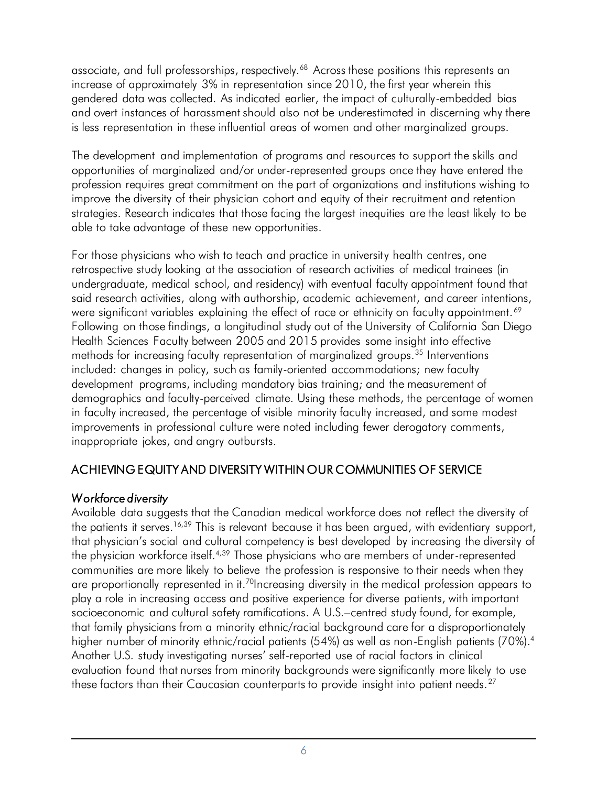associate, and full professorships, respectively.<sup>68</sup> Across these positions this represents an increase of approximately 3% in representation since 2010, the first year wherein this gendered data was collected. As indicated earlier, the impact of culturally-embedded bias and overt instances of harassment should also not be underestimated in discerning why there is less representation in these influential areas of women and other marginalized groups.

 The development and implementation of programs and resources to support the skills and opportunities of marginalized and/or under-represented groups once they have entered the profession requires great commitment on the part of organizations and institutions wishing to improve the diversity of their physician cohort and equity of their recruitment and retention strategies. Research indicates that those facing the largest inequities are the least likely to be able to take advantage of these new opportunities.

 For those physicians who wish to teach and practice in university health centres, one retrospective study looking at the association of research activities of medical trainees (in undergraduate, medical school, and residency) with eventual faculty appointment found that said research activities, along with authorship, academic achievement, and career intentions, were significant variables explaining the effect of race or ethnicity on faculty appointment.<sup>69</sup> Following on those findings, a longitudinal study out of the University of California San Diego Health Sciences Faculty between 2005 and 2015 provides some insight into effective methods for increasing faculty representation of marginalized groups.<sup>35</sup> Interventions included: changes in policy, such as family-oriented accommodations; new faculty development programs, including mandatory bias training; and the measurement of demographics and faculty-perceived climate. Using these methods, the percentage of women in faculty increased, the percentage of visible minority faculty increased, and some modest improvements in professional culture were noted including fewer derogatory comments, inappropriate jokes, and angry outbursts.

# ACHIEVING EQUITY AND DIVERSITY WITHIN OUR COMMUNITIES OF SERVICE

# *Workforce diversity*

 Available data suggests that the Canadian medical workforce does not reflect the diversity of the patients it serves. $16,39$  $16,39$  This is relevant because it has been argued, with evidentiary support, that physician's social and cultural competency is best developed by increasing the diversity of the physician workforce itself.<sup>4,39</sup> Those physicians who are members of under-represented communities are more likely to believe the profession is responsive to their needs when they are proportionally represented in it.<sup>70</sup>Increasing diversity in the medical profession appears to play a role in increasing access and positive experience for diverse patients, with important socioeconomic and cultural safety ramifications. A U.S.–centred study found, for example, that family physicians from a minority ethnic/racial background care for a disproportionately higher number of minority ethnic/racial patients (54%) as well as non-English patients (70%).<sup>4</sup> Another U.S. study investigating nurses' self-reported use of racial factors in clinical evaluation found that nurses from minority backgrounds were significantly more likely to use these factors than their Caucasian counterparts to provide insight into patient needs. $^{27}$  $^{27}$  $^{27}$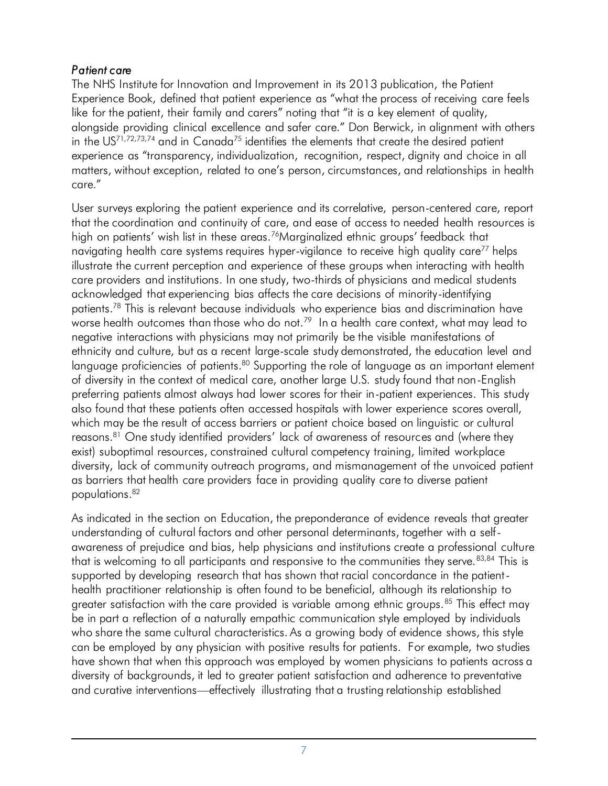### *Patient care*

 The NHS Institute for Innovation and Improvement in its 2013 publication, the Patient Experience Book, defined that patient experience as "what the process of receiving care feels Experience Book, defined that patient experience as "what the process of receiving c<br>like for the patient, their family and carers" noting that "it is a key element of quality, alongside providing clinical excellence and safer care." Don Berwick, in alignment with others in the US<sup>71,72,73,[74](#page-16-0)</sup> and in Canada<sup>75</sup> identifies the elements that create the desired patient experience as "transparency, individualization, recognition, respect, dignity and choice in all matters, without exception, related to one's person, circumstances, and relationships in health ן<br>e<br>e care."

 User surveys exploring the patient experience and its correlative, person-centered care, report that the coordination and continuity of care, and ease of access to needed health resources is high on patients' wish list in these areas.[76](#page-16-2)Marginalized ethnic groups' feedback that navigating health care systems requires hyper-vigilance to receive high quality care<sup>77</sup> helps illustrate the current perception and experience of these groups when interacting with health care providers and institutions. In one study, two-thirds of physicians and medical students acknowledged that experiencing bias affects the care decisions of minority-identifying patients. 78 This is relevant because individuals who experience bias and discrimination have worse health outcomes than those who do not. $^{79}$  In a health care context, what may lead to negative interactions with physicians may not primarily be the visible manifestations of ethnicity and culture, but as a recent large-scale study demonstrated, the education level and language proficiencies of patients.<sup>80</sup> Supporting the role of language as an important element of diversity in the context of medical care, another large U.S. study found that non-English preferring patients almost always had lower scores for their in-patient experiences. This study also found that these patients often accessed hospitals with lower experience scores overall, which may be the result of access barriers or patient choice based on linguistic or cultural reasons.<sup>81</sup> One study identified providers' lack of awareness of resources and (where they exist) suboptimal resources, constrained cultural competency training, limited workplace diversity, lack of community outreach programs, and mismanagement of the unvoiced patient as barriers that health care providers face in providing quality care to diverse patient on patients<br>gating healt<br>rate the cur<br>providers a<br>nowledged t<br>ents.<sup>78</sup> This is<br>the health ou<br>strive interactions<br>uage profici<br>iversity in the<br>erring patier<br>found that the may be the<br>h may be the sons.<sup>81</sup> One populations[.82](#page-16-8) 

 As indicated in the section on Education, the preponderance of evidence reveals that greater understanding of cultural factors and other personal determinants, together with a self- awareness of prejudice and bias, help physicians and institutions create a professional culture that is welcoming to all participants and responsive to the communities they serve.<sup>[83,](#page-16-9)84</sup> This is supported by developing research that has shown that racial concordance in the patient- health practitioner relationship is often found to be beneficial, although its relationship to greater satisfaction with the care provided is variable among ethnic groups.<sup>85</sup> This effect may be in part a reflection of a naturally empathic communication style employed by individuals who share the same cultural characteristics. As a growing body of evidence shows, this style can be employed by any physician with positive results for patients. For example, two studies have shown that when this approach was employed by women physicians to patients across a diversity of backgrounds, it led to greater patient satisfaction and adherence to preventative and curative interventions—effectively illustrating that a trusting relationship established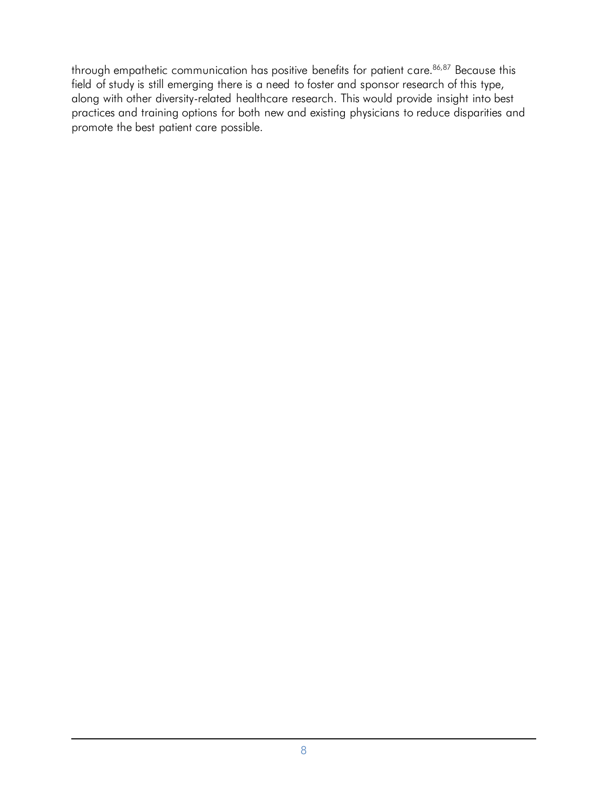through empathetic communication has positive benefits for patient care.<sup>86,87</sup> Because this field of study is still emerging there is a need to foster and sponsor research of this type, along with other diversity-related healthcare research. This would provide insight into best practices and training options for both new and existing physicians to reduce disparities and promote the best patient care possible.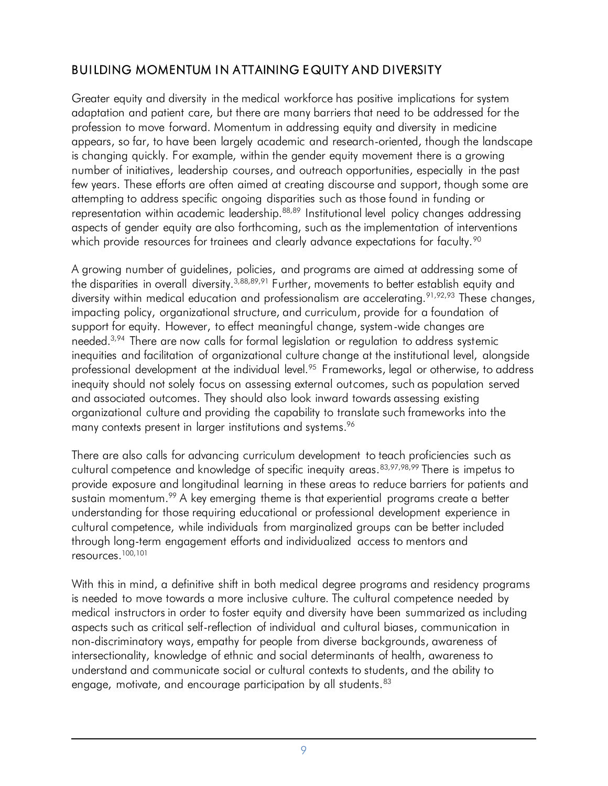# BUILDING MOMENTUM IN ATTAINING EQUITY AND DIVERSITY

 Greater equity and diversity in the medical workforce has positive implications for system adaptation and patient care, but there are many barriers that need to be addressed for the profession to move forward. Momentum in addressing equity and diversity in medicine appears, so far, to have been largely academic and research-oriented, though the landscape is changing quickly. For example, within the gender equity movement there is a growing number of initiatives, leadership courses, and outreach opportunities, especially in the past few years. These efforts are often aimed at creating discourse and support, though some are attempting to address specific ongoing disparities such as those found in funding or representation within academic leadership.<sup>88,89</sup> Institutional level policy changes addressing aspects of gender equity are also forthcoming, such as the implementation of interventions which provide resources for trainees and clearly advance expectations for faculty. $^{\circ\text{o}}$ 

 A growing number of guidelines, policies, and programs are aimed at addressing some of the disparities in overall diversity.<sup>3,[88](#page-16-14),[89](#page-16-15),91</sup> Further, movements to better establish equity and diversity within medical education and professionalism are accelerating.<sup>91,[92](#page-16-16),93</sup> These changes, impacting policy, organizational structure, and curriculum, provide for a foundation of support for equity. However, to effect meaningful change, system-wide changes are needed.<sup>3,94</sup> There are now calls for formal legislation or regulation to address systemic inequities and facilitation of organizational culture change at the institutional level, alongside professional development at the individual level.<sup>95</sup> Frameworks, legal or otherwise, to address inequity should not solely focus on assessing external outcomes, such as population served and associated outcomes. They should also look inward towards assessing existing organizational culture and providing the capability to translate such frameworks into the many contexts present in larger institutions and systems[.96](#page-16-16) 

 There are also calls for advancing curriculum development to teach proficiencies such as cultural competence and knowledge of specific inequity areas.<sup>83,[97,98,](#page-16-16)99</sup> There is impetus to provide exposure and longitudinal learning in these areas to reduce barriers for patients and sustain momentum. $^{99}$  $^{99}$  $^{99}$  A key emerging theme is that experiential programs create a better understanding for those requiring educational or professional development experience in cultural competence, while individuals from marginalized groups can be better included through long-term engagement efforts and individualized access to mentors and resources.<sup>[100,](#page-17-1)[101](#page-17-2)</sup>

 With this in mind, a definitive shift in both medical degree programs and residency programs is needed to move towards a more inclusive culture. The cultural competence needed by medical instructors in order to foster equity and diversity have been summarized as including aspects such as critical self-reflection of individual and cultural biases, communication in non-discriminatory ways, empathy for people from diverse backgrounds, awareness of intersectionality, knowledge of ethnic and social determinants of health, awareness to understand and communicate social or cultural contexts to students, and the ability to engage, motivate, and encourage participation by all students.<sup>83</sup>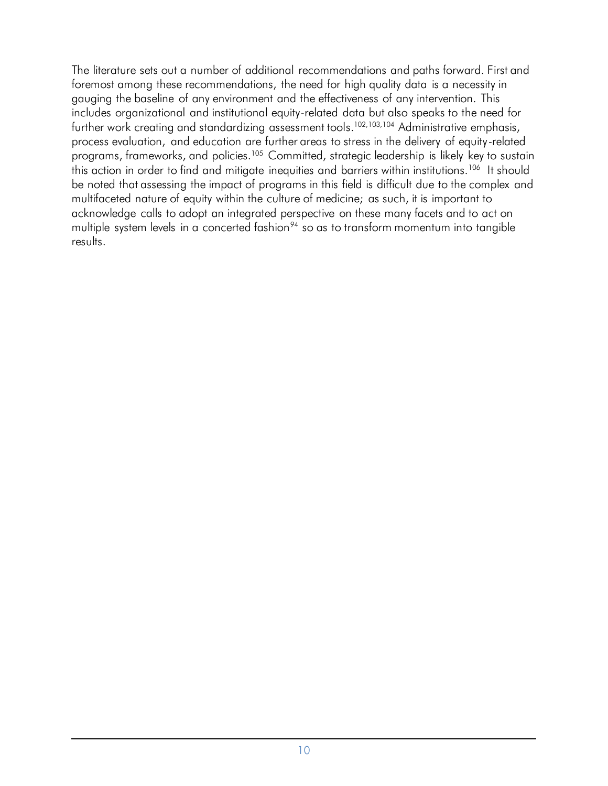The literature sets out a number of additional recommendations and paths forward. First and foremost among these recommendations, the need for high quality data is a necessity in gauging the baseline of any environment and the effectiveness of any intervention. This includes organizational and institutional equity-related data but also speaks to the need for further work creating and standardizing assessment tools.<sup>102,[103,](#page-17-4)104</sup> Administrative emphasis, process evaluation, and education are further areas to stress in the delivery of equity-related programs, frameworks, and policies.<sup>105</sup> Committed, strategic leadership is likely key to sustain this action in order to find and mitigate inequities and barriers within institutions.<sup>106</sup> It should be noted that assessing the impact of programs in this field is difficult due to the complex and multifaceted nature of equity within the culture of medicine; as such, it is important to acknowledge calls to adopt an integrated perspective on these many facets and to act on multiple system levels in a concerted fashion $94$  so as to transform momentum into tangible results.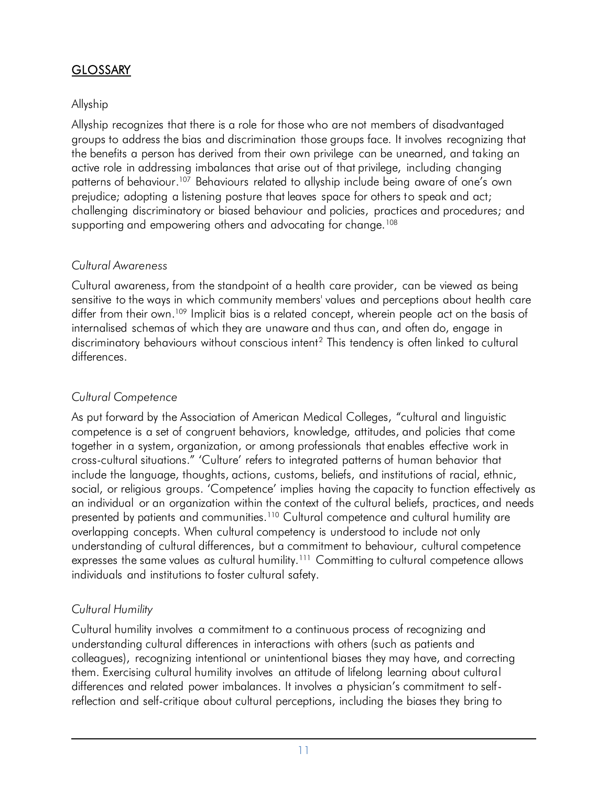# **GLOSSARY**

### Allyship

 Allyship recognizes that there is a role for those who are not members of disadvantaged groups to address the bias and discrimination those groups face. It involves recognizing that the benefits a person has derived from their own privilege can be unearned, and taking an active role in addressing imbalances that arise out of that privilege, including changing patterns of behaviour.<sup>107</sup> Behaviours related to allyship include being aware of one's own prejudice; adopting a listening posture that leaves space for others to speak and act; challenging discriminatory or biased behaviour and policies, practices and procedures; and supporting and empowering others and advocating for change.<sup>108</sup>

### *Cultural Awareness*

 *C*ultural awareness, from the standpoint of a health care provider, can be viewed as being sensitive to the ways in which community members' values and perceptions about health care differ from their own. [109](#page-17-10) Implicit bias is a related concept, wherein people act on the basis of internalised schemas of which they are unaware and thus can, and often do, engage in discriminatory behaviours without conscious intent<sup>2</sup> This tendency is often linked to cultural differences.

### *Cultural Competence*

presented by patients and communities.<sup>110</sup> Cultural competence and cultural humility are overlapping concepts. When cultural competency is understood to include not only understanding of cultural differences, but a commitment to behaviour, cultural competence expresses the same values as cultural humility.<sup>111</sup> Committing to cultural competence allows individuals and institutions to foster cultural safety. As put forward by the Association of American Medical Colleges, "cultural and linguistic competence is a set of congruent behaviors, knowledge, attitudes, and policies that come together in a system, organization, or among professionals that enables effective work in cross-cultural situations." 'Culture' refers to integrated patterns of human behavior that include the language, thoughts, actions, customs, beliefs, and institutions of racial, ethnic, social, or religious groups. 'Competence' implies having the capacity to function effectively as an individual or an organization within the context of the cultural beliefs, practices, and needs GLOSSARY<br>Allyship<br>Allyship reco<br>groups to ad<br>the benefits c<br>active role in<br>patterns of b<br>prejudice; ac<br>challenging a<br>supporting a<br>supporting a<br>Cultural Awa<br>Cultural awa<br>sensitive to tl<br>differences.<br>Cultural Con<br>As put forw

# *Cultural Humility*

 Cultural humility involves a commitment to a continuous process of recognizing and understanding cultural differences in interactions with others (such as patients and colleagues), recognizing intentional or unintentional biases they may have, and correcting them. Exercising cultural humility involves an attitude of lifelong learning about cultural differences and related power imbalances. It involves a physician's commitment to self-reflection and self-critique about cultural perceptions, including the biases they bring to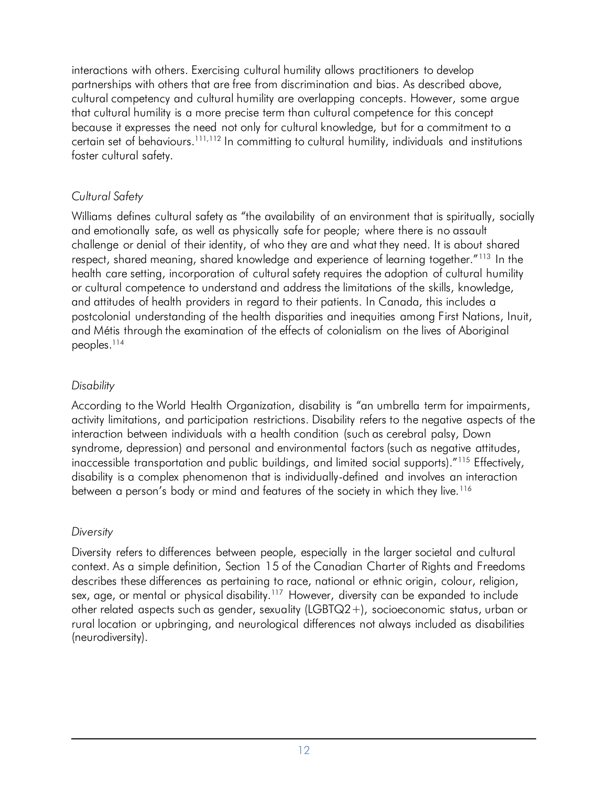interactions with others. Exercising cultural humility allows practitioners to develop partnerships with others that are free from discrimination and bias. As described above, cultural competency and cultural humility are overlapping concepts. However, some argue that cultural humility is a more precise term than cultural competence for this concept because it expresses the need not only for cultural knowledge, but for a commitment to a certain set of behaviours[.111](#page-17-12),[112](#page-17-13) In committing to cultural humility, individuals and institutions foster cultural safety.

### *Cultural Safety*

 Williams defines cultural safety as "the availability of an environment that is spiritually, socially and emotionally safe, as well as physically safe for people; where there is no assault challenge or denial of their identity, of who they are and what they need. It is about shared respect, shared meaning, shared knowledge and experience of learning together."<sup>113</sup> In the health care setting, incorporation of cultural safety requires the adoption of cultural humility or cultural competence to understand and address the limitations of the skills, knowledge, and attitudes of health providers in regard to their patients. In Canada, this includes a postcolonial understanding of the health disparities and inequities among First Nations, Inuit, and Métis through the examination of the effects of colonialism on the lives of Aboriginal shared meaning, shared knowledge and experture setting, incorporation of cultural safety requal competence to understand and address the tudes of health providers in regard to their patie onial understanding of the health interactions with others. Exercising cultural humility allows practitioners to develop<br>partnerships with others that are thee from discrimination and bias. As described a<br>partnerships with others that are the form discrimi peoples.114

### *Disability*

 According to the World Health Organization, disability is "an umbrella term for impairments, activity limitations, and participation restrictions. Disability refers to the negative aspects of the interaction between individuals with a health condition (such as cerebral palsy, Down syndrome, depression) and personal and environmental factors (such as negative attitudes, inaccessible transportation and public buildings, and limited social supports)."[115](#page-17-16) Effectively, disability is a complex phenomenon that is individually-defined and involves an interaction between a person's body or mind and features of the society in which they live.<sup>116</sup>

### *Diversity*

 Diversity refers to differences between people, especially in the larger societal and cultural context. As a simple definition, Section 15 of the Canadian Charter of Rights and Freedoms describes these differences as pertaining to race, national or ethnic origin, colour, religion, sex, age, or mental or physical disability.<sup>117</sup> However, diversity can be expanded to include other related aspects such as gender, sexuality (LGBTQ2+), socioeconomic status, urban or rural location or upbringing, and neurological differences not always included as disabilities (neurodiversity).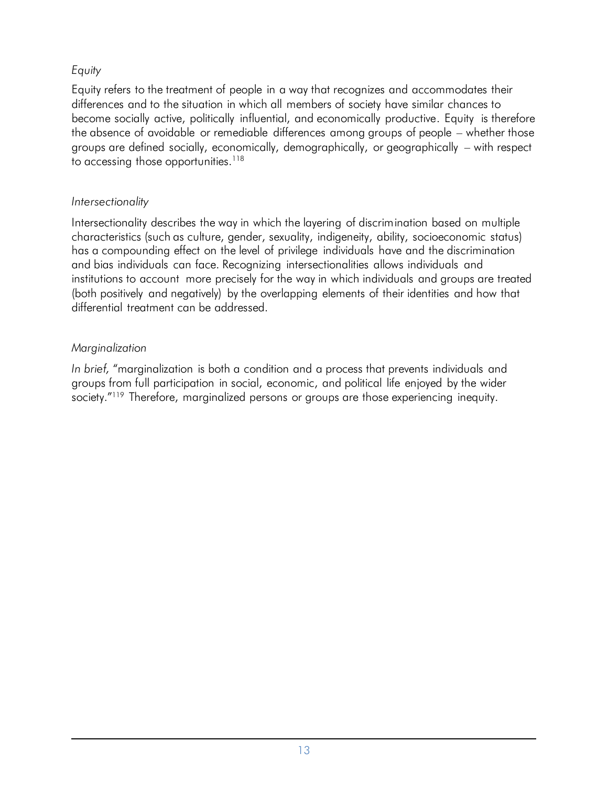### *Equity*

 Equity refers to the treatment of people in a way that recognizes and accommodates their differences and to the situation in which all members of society have similar chances to become socially active, politically influential, and economically productive. Equity is therefore the absence of avoidable or remediable differences among groups of people – whether those groups are defined socially, economically, demographically, or geographically – with respect to accessing those opportunities. $118$ 

#### *Intersectionality*

 Intersectionality describes the way in which the layering of discrimination based on multiple characteristics (such as culture, gender, sexuality, indigeneity, ability, socioeconomic status) has a compounding effect on the level of privilege individuals have and the discrimination and bias individuals can face. Recognizing intersectionalities allows individuals and institutions to account more precisely for the way in which individuals and groups are treated (both positively and negatively) by the overlapping elements of their identities and how that differential treatment can be addressed.

### *Marginalization*

 *In brief,* "marginalization is both a condition and a process that prevents individuals and groups from full participation in social, economic, and political life enjoyed by the wider society."<sup>119</sup> Therefore, marginalized persons or groups are those experiencing inequity.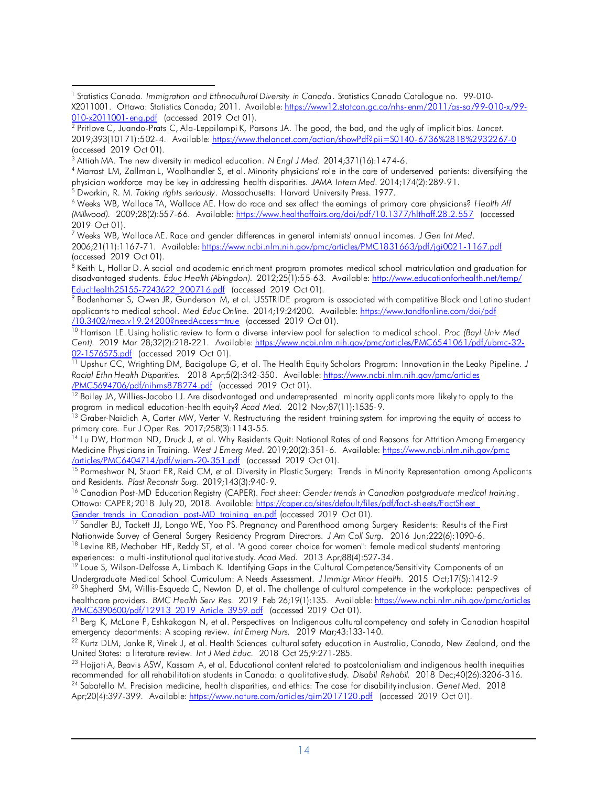<span id="page-13-6"></span> (accessed 2019 Oct 01). 7 Weeks WB, Wallace AE. Race and gender differences in general internists' annual incomes. *J Gen Int Med*. 2006;21(11):1167-71. Available[: https://www.ncbi.nlm.nih.gov/pmc/articles/PMC1831663/pdf/jgi0021-1167.pdf](https://www.ncbi.nlm.nih.gov/pmc/articles/PMC1831663/pdf/jgi0021-1167.pdf) 

<span id="page-13-7"></span>EducHealth25155-7243622\_200716.pdf (accessed 2019 Oct 01). <sup>8</sup> Keith L, Hollar D. A social and academic enrichment program promotes medical school matriculation and graduation for disadvantaged students. *Educ Health (Abingdon).* 2012;25(1):55-63. Available[: http://www.educationforhealth.net/temp/](http://www.educationforhealth.net/temp/EducHealth25155-7243622_200716.pdf) 

<span id="page-13-8"></span>/10.3402/meo.v19.24200?needAccess=true (accessed 2019 Oct 01). <u>EducHealth25155-7243622\_200716.pdf</u> (accessed 2019 Oct 01).<br><sup>9</sup> Bodenhamer S, Owen JR, Gunderson M, et al. USSTRIDE program is associated with competitive Black and Latino student applicants to medical school. *Med Educ Online.* 2014;19:24200. Available[: https://www.tandfonline.com/doi/pdf](https://www.tandfonline.com/doi/pdf/10.3402/meo.v19.24200?needAccess=true) 

<span id="page-13-9"></span>02-1576575.pdf (accessed 2019 Oct 01). <u>/10.3402/meo.v19.24200?needAccess=true</u> (accessed 2019 Oct 01).<br><sup>10</sup> Harrison LE. Using holistic review to form a diverse interview pool for selection to medical school. *Proc (Bayl Univ Med Cent).* 2019 Mar 28;32(2):218-221. Available: [https://www.ncbi.nlm.nih.gov/pmc/articles/PMC6541061/pdf/ubmc-32-](https://www.ncbi.nlm.nih.gov/pmc/‌articles/PMC6541061‌/pdf/ubmc-32-02-1576575.pdf)

<span id="page-13-10"></span><u>02-1576575.pdf</u> (accessed 2019 Oct 01).<br><sup>11</sup> Upshur CC, Wrighting DM, Bacigalupe G, et al. The Health Equity Scholars Program: Innovation in the Leaky Pipeline. *J Racial Ethn Health Disparities.* 2018 Apr;5(2):342-350. Available[: https://www.ncbi.nlm.nih.gov/pmc/articles](https://www.ncbi.nlm.nih.gov/pmc/articles/PMC5694706/pdf/nihms878274.pdf) 

<span id="page-13-11"></span><u>/PMC5694706/pdf/nihms878274.pdf</u> (accessed 2019 Oct 01).<br><sup>12</sup> Bailey JA, Willies-Jacobo LJ. Are disadvantaged and underrepresented minority applicants more likely to apply to the program in medical education-health equity? Acad Med. 2012 Nov;87(11):1535-9.

<span id="page-13-12"></span>program in medical education-health equity? *Acad Med.* 2012 Nov;87(11):1535-9.<br><sup>13</sup> Graber-Naidich A, Carter MW, Verter V. Restructuring the resident training system for improving the equity of access to primary care. Eur J Oper Res. 2017;258(3):1143-55.

<span id="page-13-13"></span>/articles/PMC6404714/pdf/wjem-20-351.pdf (accessed 2019 Oct 01). <sup>14</sup> Lu DW, Hartman ND, Druck J, et al. Why Residents Quit: National Rates of and Reasons for Attrition Among Emergency Medicine Physicians in Training. *West J Emerg Med.* 2019;20(2):351-6. Available[: https://www.ncbi.nlm.nih.gov/pmc](https://www.ncbi.nlm.nih.gov/pmc/articles/PMC6404714/pdf/wjem-20-351.pdf) 

<span id="page-13-14"></span><u>/articles/PMC6404714/pdf/wjem-20-351.pdf</u> (accessed 2019 Oct 01).<br><sup>15</sup> Parmeshwar N, Stuart ER, Reid CM, et al. Diversity in Plastic Surgery: Trends in Minority Representation among Applicants and Residents. Plast Reconstr Surg. 2019;143(3):940-9.

<span id="page-13-15"></span>Gender trends in Canadian post-MD training en.pdf (accessed 2019 Oct 01). and Residents. *Plast Reconstr Surg. 2019;143(3):940-9.*<br><sup>16</sup> Canadian Post-MD Education Registry (CAPER). *Fact sheet: Gender trends in Canadian postgraduate medical training*. Ottawa: CAPER; 2018 July 20, 2018. Available: <u>https://caper.ca/sites/default/files/pdf/fact-sheets/FactSheet\_</u>

<u>Gender trends\_in\_Canadian\_post-MD\_training\_en.pdf</u> (accessed 2019 Oct 01).<br><sup>17</sup> Sandler BJ, Tackett JJ, Longo WE, Yoo PS. Pregnancy and Parenthood among Surgery Residents: Results of the First

Nationwide Survey of General Surgery Residency Program Directors. J Am Coll Surg. 2016 Jun;222(6):1090-6. Nationwide Survey of General Surgery Residency Program Directors. J Am Coll Surg. 2016 Jun;222(6):1090-6.<br><sup>18</sup> Levine RB, Mechaber HF, Reddy ST, et al. "A good career choice for women": female medical students' mentoring experiences: a multi-institutional qualitative study. Acad Med. 2013 Apr;88(4):527-34.

experiences: a multi-institutional qualitative study. *A*cad Med. 2013 Apr;88(4):527-34.<br><sup>19</sup> Loue S, Wilson-Delfosse A, Limbach K. Identifying Gaps in the Cultural Competence/Sensitivity Components of an Undergraduate Medical School Curriculum: A Needs Assessment. J Immigr Minor Health. 2015 Oct;17(5):1412-9

/PMC6390600/pdf/12913 2019 Article 3959.pdf (accessed 2019 Oct 01). Undergraduate Medical School Curriculum: A Needs Assessment. JImmigr Minor Health. 2015 Oct;17(5):1412-9<br><sup>20</sup> Shepherd SM, Willis-Esqueda C, Newton D, et al. The challenge of cultural competence in the workplace: perspecti healthcare providers. *BMC Health Serv Res.* 2019 Feb 26;19(1):135. Available[: https://www.ncbi.nlm.nih.gov/pmc/articles](https://www.ncbi.nlm.nih.gov/‌pmc/articles/PMC6390600/pdf/12913_2019_Article_3959.pdf) 

<u>/PMC6390600/pdf/12913\_2019\_Article\_3959.pdf</u> (accessed 2019 Oct 01).<br><sup>21</sup> Berg K, McLane P, Eshkakogan N, et al. Perspectives on Indigenous cultural competency and safety in Canadian hospital emergency departments: A scoping review. Int Emerg Nurs. 2019 Mar;43:133-140. emergency departments: A scoping review. *Int* Emerg Nurs. 2019 Mar;43:133-140.<br><sup>22</sup> Kurtz DLM, Janke R, Vinek J, et al. Health Sciences cultural safety education in Australia, Canada, New Zealand, and the

United States: a literature review. Int J Med Educ. 2018 Oct 25;9:271-285. United States: a literature review. *Int J Med Educ*. 2018 Oct 25;9:271-285.<br><sup>23</sup> Hojjati A, Beavis ASW, Kassam A, et al. Educational content related to postcolonialism and indigenous health inequities

Apr;20(4):397-399. Available: <u>https://www.nature.com/articles/gim2017120.pdf</u> (accessed 2019 Oct 01). recommended for all rehabilitation students in Canada: a qualitative study. Disabil Rehabil. 2018 Dec;40(26):3206-316. recommended for all rehabilitation students in Canada: a qualitative study. *Disabil Rehabil. 2*018 Dec;40(26):3206-316.<br><sup>24</sup> Sabatello M. Precision medicine, health disparities, and ethics: The case for disability inclusi

<span id="page-13-0"></span><sup>010-</sup>x2011001-eng.pdf (accessed 2019 Oct 01).  $\overline{a}$  1 Statistics Canada. *Immigration and Ethnocultural Diversity in Canada*. Statistics Canada Catalogue no. 99-010- X2011001. Ottawa: Statistics Canada; 2011. Available[: https://www12.statcan.gc.ca/nhs-enm/2011/as-sa/99-010-x/99-](https://www12.statcan.gc.ca/nhs-enm/2011/as-sa/99-010-x/99-010-x2011001-eng.pdf)

<span id="page-13-1"></span> (accessed 2019 Oct 01). <mark>010-x2011001-eng.pdf</mark> (accessed 2019 Oct 01).<br><sup>2</sup> Pritlove C, Juando-Prats C, Ala-Leppilampi K, Parsons JA. The good, the bad, and the ugly of implicit bias. *Lancet*. 2019;393(10171):502-4. Available[: https://www.thelancet.com/action/showPdf?pii=S0140-6736%2818%2932267-0](https://www.thelancet.com/action/showPdf?pii=S0140-6736%2818%2932267-0) 

<span id="page-13-3"></span><span id="page-13-2"></span><sup>&</sup>lt;sup>3</sup> Attiah MA. The new diversity in medical education. N Engl J Med. 2014;371(16):1474-6.

<sup>&</sup>lt;sup>3</sup> Attiah MA. The new diversity in medical education. *N Engl J Med. 2*014;371(16):1474-6.<br><sup>4</sup> Marrast LM, Zallman L, Woolhandler S, et al. Minority physicians' role in the care of underserved patients: diversifying the physician workforce may be key in addressing health disparities. JAMA Intern Med. 2014;174(2):289-91.<br><sup>5</sup> Dworkin, R. M. Ta*king rights seriously*. Massachusetts: Harvard University Press. 1977.<br><sup>6</sup> Weeks WB, Wallace TA, W

<span id="page-13-4"></span>

<span id="page-13-5"></span> 2019 Oct 01). <sup>6</sup> Weeks WB, Wallace TA, Wallace AE. How do race and sex affect the eamings of primary care physicians? Health Aff *(Millwood).* 2009;28(2):557-66. Available[: https://www.healthaffairs.org/doi/pdf/10.1377/hlthaff.28.2.557](https://www.healthaffairs.org/doi/pdf/10.1377/hlthaff.28.2.557) (accessed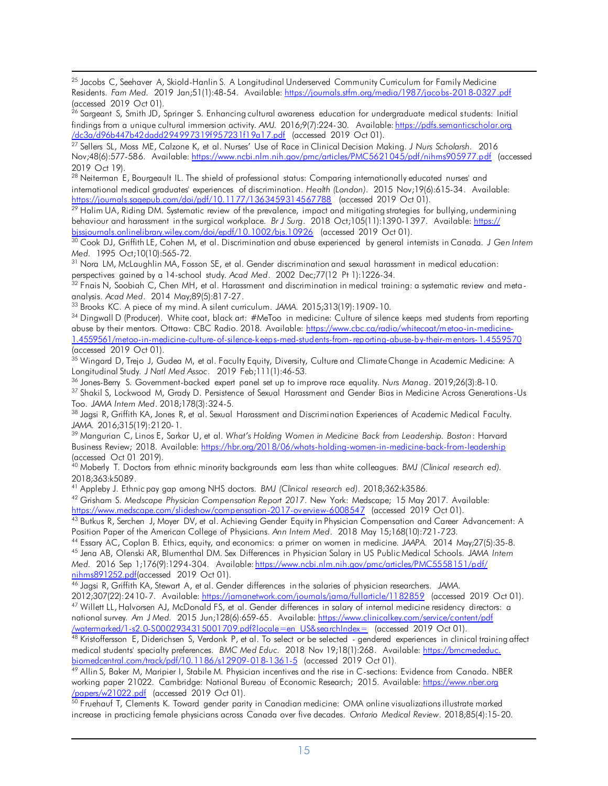<span id="page-14-0"></span> $\overline{a}$  (accessed 2019 Oct 01).  $^{25}$  Jacobs C, Seehaver A, Skiold-Hanlin S. A Longitudinal Underserved Community Curriculum for Family Medicine Residents. *Fam Med.* 2019 Jan;51(1):48-54. Available[: https://journals.stfm.org/media/1987/jacobs-2018-0327.pdf](https://journals.stfm.org/media/1987/jacobs-2018-0327.pdf) 

<span id="page-14-1"></span>/dc3a/d96b447b42dadd294997319f957231f19a17.pdf (accessed 2019 Oct 01).  $^{26}$  Sargeant S, Smith JD, Springer S. Enhancing cultural awareness education for undergraduate medical students: Initial findings from a unique cultural immersion activity. *AMJ.* 2016;9(7):224-30. Available[: https://pdfs.semanticscholar.org](https://pdfs.semanticscholar.org/dc3a/d96b447b42dadd294997319f957231f19a17.pdf) 

<span id="page-14-2"></span> 2019 Oct 19). <u>/dc3a/d96b447b42dadd294997319f957231f19a17.pdf</u> (accessed 2019 Oct 01).<br><sup>27</sup> Sellers SL, Moss ME, Calzone K, et al. Nurses' Use of Race in Clinical Decision Making. *J Nurs Scholarsh.* 2016 Nov;48(6):577-586. Available: <u>https://www.ncbi.nlm.nih.gov/pmc/articles/PMC5621045/pdf/nihms905977.pdf</u> (accessed

<span id="page-14-3"></span>https://joumals.sagepub.com/doi/pdf/10.1177/1363459314567788 (accessed 2019 Oct 01).  $^{28}$  Neiterman E, Bourgeault IL. The shield of professional status: Comparing internationally educated nurses' and international medical graduates' experiences of discrimination. *Health (London)*. 2015 Nov;19(6):615-34. Available:

<span id="page-14-4"></span>bissioumals.onlinelibrary.wiley.com/doi/epdf/10.1002/bjs.10926 (accessed 2019 Oct 01). <u>https://joumals.sagepub.com/doi/pdf/10.1177/1363459314567788</u> (accessed 2019 Oct 01).<br><sup>29</sup> Halim UA, Riding DM. Systematic review of the prevalence, impact and mitigating strategies for bullying, undermining behaviour and harassment in the surgical workplace. *Br J Surg*. 2018 Oct;105(11):1390-1397. Available[: https://](https://bjssjournals.onlinelibrary.wiley.com/doi/epdf/10.1002/bjs.10926) 

<span id="page-14-5"></span><u>bissjoumals.onlinelibrary.wiley.com/doi/epdf/10.1002/bis.10926</u> (accessed 2019 Oct 01).<br><sup>30</sup> Cook DJ, Griffith LE, Cohen M, et al. Discrimination and abuse experienced by general internists in Canada. *J Gen Intern* Med. 1995 Oct:10(10):565-72.

<span id="page-14-6"></span>*Med.* 1995 Oct;10(10):565-72.<br><sup>31</sup> Nora LM, McLaughlin MA, Fosson SE, et al. Gender discrimination and sexual harassment in medical education:

<span id="page-14-7"></span>perspectives gained by a 14-school study. *A*cad Med. 2002 Dec;77(12 Pt 1):1226-34.<br><sup>32</sup> Fnais N, Soobiah C, Chen MH, et al. Harassment and discrimination in medical training: a systematic review and metaanalysis. Acad Med. 2014 May;89(5):817-27.

<span id="page-14-9"></span><span id="page-14-8"></span><sup>33</sup> Brooks KC. A piece of my mind. A silent curriculum. JAMA. 2015;313(19): 1909-10.

 (accessed 2019 Oct 01). analysis. Acad Med. 2014 May;89(5):817-27.<br><sup>33</sup> Brooks KC. A piece of my mind. A silent curriculum. JAMA. 2015;313(19):1909-10.<br><sup>34</sup> Dingwall D (Producer). White coat, black art: #MeToo in medicine: Culture of silence abuse by their mentors. Ottawa: CBC Radio. 2018. Available: <u>https://www.cbc.ca/radio/whitecoat/metoo-in-medicine-</u> [1.4559561/metoo-in-medicine-culture-of-silence-keeps-med-students-from-reporting-abuse-by-their-mentors-1.4559570](https://www.cbc.ca/radio/whitecoat/metoo-in-medicine-1.4559561/metoo-in-medicine-culture-of-silence-keeps-med-students-from-reporting-abuse-by-their-mentors-1.4559570) 

<span id="page-14-10"></span><sup>35</sup> Wingard D, Trejo J, Gudea M, et al. Faculty Equity, Diversity, Culture and Climate Change in Academic Medicine: A Longitudinal Study. J Natl Med Assoc. 2019 Feb;111(1):46-53.

<span id="page-14-12"></span><span id="page-14-11"></span><sup>36</sup> Jones-Berry S. Government-backed expert panel set up to improve race equality. Nurs Manag. 2019;26(3):8-10. Longitudinal Study. J Natl Med Assoc. 2019 Feb;111(1):46-53.<br><sup>36</sup> Jones-Berry S. Government-backed expert panel set up to improve race equality. Nurs Manag. 2019;26(3):8-10.<br><sup>37</sup> Shakil S, Lockwood M, Grady D. Persistence Too. JAMA Intern Med. 2018;178(3):324-5.

<span id="page-14-13"></span>Too. *JAMA Intern Med.* 2018;178(3):324-5.<br><sup>38</sup> Jagsi R, Griffith KA, Jones R, et al. Sexual Harassment and Discrimination Experiences of Academic Medical Faculty.

<span id="page-14-14"></span> (accessed Oct 01 2019). *JAMA. 2016;315(19):2120-1.*<br><sup>39</sup> Mangurian C, Linos E, Sarkar U, et al. What's Holding Women in Medicine Back from Leadership. Boston: Harvard Business Review; 2018. Available: <u>https://hbr.org/2018/06/whats-holding-women-in-medicine-back-from-leadership</u>

<span id="page-14-15"></span> 40 Moberly T. Doctors from ethnic minority backgrounds earn less than white colleagues. *BMJ (Clinical research ed).*  2018;363:k5089.

<span id="page-14-16"></span><sup>41</sup> Appleby J. Ethnic pay gap among NHS doctors. BMJ (Clinical research ed). 2018;362:k3586.

https://www.medscape.com/slideshow/compensation-2017-overview-6008547 (accessed 2019 Oct 01). <sup>41</sup> Appleby J. Ethnic pay gap among NHS doctors. *BMJ (Clinical research ed).* 2018;362:k3586.<br><sup>42</sup> Grisham S. *Medscape Physician Compensation Report 2017.* New York: Medscape; 15 May 2017. Available:

<u>https://www.medscape.com/slideshow/compensation-2017-overview-6008547</u> (accessed 2019 Oct 01).<br><sup>43</sup> Butkus R, Serchen J, Moyer DV, et al. Achieving Gender Equity in Physician Compensation and Career Advancement: A Position Paper of the American College of Physicians, Ann Intern Med. 2018 May 15;168(10):721-723.

<sup>45</sup> Jena AB, Olenski AR, Blumenthal DM. Sex Differences in Physician Salary in US Public Medical Schools. JAMA Intern *Med.* 2016 Sep 1;176(9):1294-304. Available[: https://www.ncbi.nlm.nih.gov/pmc/articles/PMC5558151/pdf/](https://www.ncbi.nlm.nih.gov/‌pmc/articles/PMC5558151/‌pdf/nihms891252.pdf)  nihms891252.pdf(accessed 2019 Oct 01). Position Paper of the American College of Physicians. Ann Intern Med. 2018 May 15;168(10):721-723.<br><sup>44</sup> Essary AC, Coplan B. Ethics, equity, and economics: a primer on women in medicine. JAAPA. 2014 May;27(5):35-8.<br><sup>45</sup> J

2012;307(22):2410-7. Available: https://jamanetwork.com/journals/jama/fullarticle/1182859 (accessed 2019 Oct 01). [nihms891252.pdf\(a](https://www.ncbi.nlm.nih.gov/‌pmc/articles/PMC5558151/‌pdf/nihms891252.pdf)ccessed 2019 Oct 01). 46 Jagsi R, Griffith KA, Stewart A, et al. Gender differences in the salaries of physician researchers. *JAMA*. 2012;307(22):2410-7. Available: <u>https://jamanetwork.com/joumals/jama/fullarticle/1182859</u> (accessed 2019 Oct 01).<br><sup>47</sup> Willett LL, Halvorsen AJ, McDonald FS, et al. Gender differences in salary of intemal medicine residen  national survey*. Am J Med.* 2015 Jun;128(6):659-65. Available[: https://www.clinicalkey.com/service/content/pdf](https://www.clinicalkey.com/‌service‌/content‌‌/‌pdf‌/watermarked/1-s2.0-S0002934315001709.pdf?locale=en_US&searchIndex=) 

 $\sqrt{\frac{m \cdot \text{m} \cdot \text{m}}{m \cdot \text{m} \cdot \text{m}}}$  (accessed 2019 Oct 01). <u>/watermarked/1-s2.0-S0002934315001709.pdf?locale=en\_US&searchIndex=</u> (accessed 2019 Oct 01).<br><sup>48</sup> Kristoffersson E, Diderichsen S, Verdonk P, et al. To select or be selected - gendered experiences in clinical training aff

biomedcentral.com/track/pdf/10.1186/s12909-018-1361-5 (accessed 2019 Oct 01). medical students' specialty preferences. *BMC Med Educ.* 2018 Nov 19;18(1):268. Available[: https://bmcmededuc.](https://bmcmededuc.biomedcentral.com/track/pdf/10.1186/s12909-018-1361-5)  <u>biomedcentral.com/track/pdf/10.1186/s12909-018-1361-5</u> (accessed 2019 Oct 01).<br><sup>49</sup> Allin S, Baker M, Maripier I, Stabile M. Physician incentives and the rise in C-sections: Evidence from Canada. NBER

/papers/w21022.pdf (accessed 2019 Oct 01). working paper 21022. Cambridge: National Bureau of Economic Research; 2015. Available: <u>https://www.nber.ora</u>

<u>/papers/w21022.pdf</u> (accessed 2019 Oct 01).<br><sup>50</sup> Fruehauf T, Clements K. Toward gender parity in Canadian medicine: OMA online visualizations illustrate marked increase in practicing female physicians across Canada over five decades*. Ontario Medical Review*. 2018;85(4):15-20.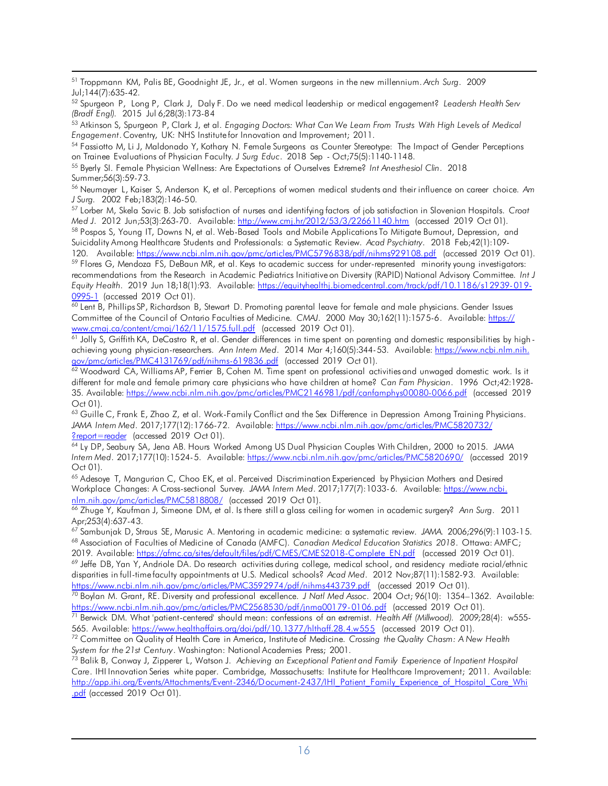<span id="page-15-0"></span> $\overline{a}$ 51 Troppmann KM, Palis BE, Goodnight JE, Jr., et al. Women surgeons in the new millennium. *Arch Surg*. 2009

<span id="page-15-1"></span>Jul;144(7):635-42.<br><sup>52</sup> Spurgeon P, Long P, Clark J, Daly F. Do we need medical leadership or medical engagement? *L*eadersh Health Serv (Bradf Engl). 2015 Jul 6;28(3):173-84 *(Bradf Engl). 2015 Jul 6;28(3):173-84*<br><sup>53</sup> Atkinson S, Spurgeon P, Clark J, et al. *Engaging Doctors: What Can* We Learn From Trusts With High Levels of Medical

<span id="page-15-2"></span>Engagement. Coventry, UK: NHS Institute for Innovation and Improvement; 2011.

<span id="page-15-3"></span>Engagement. Coventry, UK: NHS Institutefor Innovation and Improvement; 2011.<br><sup>54</sup> Fassiotto M, Li J, Maldonado Y, Kothary N. Female Surgeons as Counter Stereotype: The Impact of Gender Perceptions on Trainee Evaluations of Physician Faculty. J Surg Educ. 2018 Sep - Oct;75(5):1140-1148.

<span id="page-15-4"></span>on Trainee Evaluations of Physician Faculty. *J Surg Educ. 2*018 Sep - Oct;75(5):1140-1148.<br><sup>55</sup> Byerly SI. Female Physician Wellness: Are Expectations of Ourselves Extreme? *Int Anesthesiol Clin*. 2018 Summer;56(3):59-73.

<span id="page-15-5"></span> 56 Neumayer L, Kaiser S, Anderson K, et al. Perceptions of women medical students and their influence on career choice. *Am*  J Surg. 2002 Feb; 183(2): 146-50. *J Surg.* 2002 Feb;183(2):146-50.<br><sup>57</sup> Lorber M, Skela Savic B. Job satisfaction of nurses and identifying factors of job satisfaction in Slovenian Hospitals. *Croat* 

<span id="page-15-6"></span>2012 Jun;53(3):263-70. Available: http://www.cmj.hr/2012/53/3/22661140.htm (accessed Med J. 2012 Jun;53(3):263-70. Available: <u>http://www.cmj.hr/2012/53/3/22661140.htm</u> (accessed 2019 Oct 01).<br><sup>58</sup> Pospos S, Young IT, Downs N, et al. Web-Based Tools and Mobile ApplicationsTo Mitigate Bumout, Depression, an

<span id="page-15-7"></span>Available: https://www.ncbi.nlm.nih.gov/pmc/articles/PMC5796838/pdf/nihms929108.pdf (accessed Suicidality Among Healthcare Students and Professionals: a Systematic Review. *Acad Psychiatry.* 2018 Feb;42(1):109-

<span id="page-15-8"></span>0995-1 (accessed 2019 Oct 01). 120. Available: <u>https://www.ncbi.nlm.nih.gov/pmc/articles/PMC5796838/pdf/nihms929108.pdf</u> (accessed 2019 Oct 01).<br><sup>59</sup> Flores G, Mendoza FS, DeBaun MR, et al. Keys to academic success for under-represented minority young recommendations from the Research in Academic Pediatrics Initiative on Diversity (RAPID) National Advisory Committee. *Int J Equity Health.* 2019 Jun 18;18(1):93. Available[: https://equityhealthj.biomedcentral.com/track/pdf/10.1186/s12939-019-](https://equityhealthj.biomedcentral.com/track/pdf/10.1186/s12939-019-0995-1)

<span id="page-15-9"></span>www.cmaj.ca/content/cmaj/162/11/1575.full.pdf (accessed 2019 Oct 01). <u>0995-1</u> (accessed 2019 Oct 01).<br><sup>60</sup> Lent B, Phillips SP, Richardson B, Stewart D. Promoting parental leave for female and male physicians. Gender Issues Committee of the Council of Ontario Faculties of Medicine. *CMAJ*. 2000 May 30;162(11):1575-6. Available[: https://](https://www.cmaj.ca/content/cmaj/162/11/1575.full.pdf) 

<span id="page-15-10"></span>gov/pmc/articles/PMC4131769/pdf/nihms-619836.pdf (accessed 2019 Oct 01). <u>www.cmaj.ca/content/cmaj/162/11/1575.full.pdf</u> (accessed 2019 Oct 01).<br><sup>61</sup> Jolly S, Griffith KA, DeCastro R, et al. Gender differences in time spent on parenting and domestic responsibilities by high-achieving young physician-researchers. *Ann Intern Med*. 2014 Mar 4;160(5):344-53. Available: [https://www.ncbi.nlm.nih.](https://www.ncbi.nlm.nih.gov/pmc/articles/PMC4131769/pdf/nihms-619836.pdf) 

<span id="page-15-11"></span> 35. Available[: https://www.ncbi.nlm.nih.gov/pmc/articles/PMC2146981/pdf/canfamphys00080-0066.pdf](https://www.ncbi.nlm.nih.gov/pmc/‌articles/PMC2146981/‌pdf/‌canfamphys00080-0066.pdf) (accessed 2019 <u>gov/pmc/articles/PMC4131769/pdf/nihms-619836.pdf</u> (accessed 2019 Oct 01).<br><sup>62</sup> Woodward CA, Williams AP, Ferrier B, Cohen M. Time spent on professional activities and unwaged domestic work. Is it different for male and female primary care physicians who have children at home? *Can Fam Physician*. 1996 Oct;42:1928- Oct 01).

<span id="page-15-12"></span>?report=reader (accessed 2019 Oct 01). 63 Guille C, Frank E, Zhao Z, et al. Work-Family Conflict and the Sex Difference in Depression Among Training Physicians*. JAMA Intern Med*. 2017;177(12):1766-72. Available: [https://www.ncbi.nlm.nih.gov/pmc/articles/PMC5820732/](https://www.ncbi.nlm.nih.gov/pmc/articles/PMC5820732/?report=reader) 

<span id="page-15-13"></span> *Intern Med*. 2017;177(10):1524-5. Available:<https://www.ncbi.nlm.nih.gov/pmc/articles/PMC5820690/>(accessed 2019 <u>?report=reader</u> (accessed 2019 Oct 01).<br><sup>64</sup> Ly DP, Seabury SA, Jena AB. Hours Worked Among US Dual Physician Couples With Children, 2000 to 2015. *JAMA* Oct 01).

<span id="page-15-15"></span><span id="page-15-14"></span>nlm.nih.gov/pmc/articles/PMC5818808/ (accessed 2019 Oct 01). <sup>65</sup> Adesoye T, Mangurian C, Choo EK, et al. Perceived Discrimination Experienced by Physician Mothers and Desired Workplace Changes: A Cross-sectional Survey. *JAMA Intern Med*. 2017;177(7):1033-6. Available[: https://www.ncbi.](https://www.ncbi.nlm.nih.gov/pmc/articles/PMC5818808/) 

<mark>nlm.nih.gov/pmc/articles/PMC5818808/</mark> (accessed 2019 Oct 01).<br><sup>66</sup> Zhuge Y, Kaufman J, Simeone DM, et al. Is there still a glass ceiling for women in academic surgery? *Ann Sur*g. 2011 Apr;253(4):637-43.

Available: https://afmc.ca/sites/default/files/pdf/CMES/CMES2018-Complete\_EN.pdf (accessed <sup>68</sup> Association of Faculties of Medicine of Canada (AMFC). Canadian Medical Education Statistics 2018. Ottawa: AMFC; <sup>67</sup> Sambunjak D, Straus SE, Marusic A. Mentoring in academic medicine: a systematic review. JAMA. 2006;296(9):1103-15.<br><sup>68</sup> Association of Faculties of Medicine of Canada (AMFC). Ca*nadian Medical Education Statistics 201* 

https://www.ncbi.nlm.nih.gov/pmc/articles/PMC3592974/pdf/nihms443739.pdf (accessed 2019 Oct 01). 2019. Available: <u>https://afmc.ca/sites/default/files/pdf/CMES/CMES2018-Complete\_EN.pdf</u> (accessed 2019 Oct 01).<br><sup>69</sup> Jeffe DB, Yan Y, Andriole DA. Do research activities during college, medical school, and residency media disparities in full-timefaculty appointments at U.S. Medical schools? *Acad Med*. 2012 Nov;87(11):1582-93. Available:

https://www.ncbi.nlm.nih.gov/pmc/articles/PMC2568530/pdf/jnma00179-0106.pdf (accessed 2019 Oct 01). <u>https://www.ncbi.nlm.nih.gov/pmc/articles/PMC3592974/pdf/nihms443739.pdf</u> (accessed 2019 Oct 01).<br><sup>70</sup> Boylan M. Grant, RE. Diversity and professional excellence. *J* Natl Med Assoc. 2004 Oct; 96(10): 1354–1362. Available

Available: https://www.healthaffairs.org/doi/pdf/10.1377/hlthaff.28.4.w555 (accessed <u>https://www.ncbi.nlm.nih.gov/pmc/articles/PMC2568530/pdf/jnma00179-0106.pdf</u> (accessed 2019 Oct 01).<br><sup>71</sup> Berwick DM. What 'patient-centered' should mean: confessions of an extremist. HealthAff (Millwood). 2009;28(4): w55 565. Available: <u>https://www.healthaffairs.org/doi/pdf/10.1377/hlthaff.28.4.w555</u> (accessed 2019 Oct 01).<br><sup>72</sup> Committee on Quality of Health Care in America, Institute of Medicine. *Crossing the Quality Chasm: A* New Heal

*System for the 21st Century*. Washington: National Academies Press; 2001.<br><sup>73</sup> Balik B. Century 1. 7.

[.pdf](http://app.ihi.org/Events/Attachments/Event-2346/Document-2437/IHI_‌Patient_Family_‌Experience_‌of_‌Hospital_Care_Whi.pdf) (accessed 2019 Oct 01). System for the 21st Century. Washington: National Academies Press; 2001.<br><sup>73</sup> Balik B, Conway J, Zipperer L, Watson J. *Achieving an Exceptional Patient* and Family *Experience of Inpatient Hospital Care*. IHI Innovation Series white paper. Cambridge, Massachusetts: Institute for Healthcare Improvement; 2011. Available: [http://app.ihi.org/Events/Attachments/Event-2346/Document-2437/IHI\\_Patient\\_Family\\_Experience\\_of\\_Hospital\\_Care\\_Whi](http://app.ihi.org/Events/Attachments/Event-2346/Document-2437/IHI_‌Patient_Family_‌Experience_‌of_‌Hospital_Care_Whi.pdf)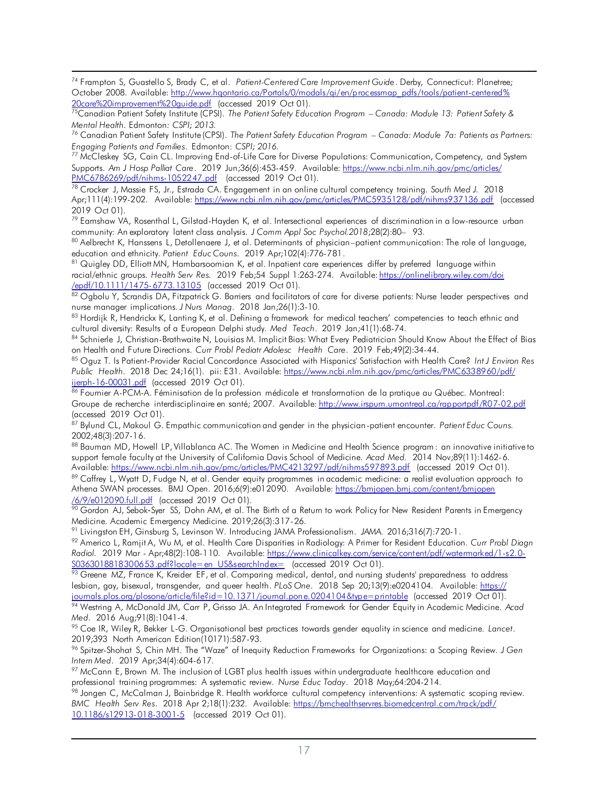<span id="page-16-0"></span> $\overline{a}$ 20care%20improvement%20guide.pdf (accessed 2019 Oct 01). 74 Frampton S, Guastello S, Brady C, et al. *Patient-Centered Care Improvement Guide*. Derby, Connecticut: Planetree; October 2008. Available: [http://www.hqontario.ca/Portals/0/modals/qi/en/processmap\\_pdfs/tools/patient-centered%](http://www.hqontario.ca/Portals/0/modals/qi/en/processmap_pdfs/tools/patient-centered%20care%20improvement%20guide.pdf) 

<span id="page-16-1"></span> [20care%20improvement%20guide.pdf](http://www.hqontario.ca/Portals/0/modals/qi/en/processmap_pdfs/tools/patient-centered%20care%20improvement%20guide.pdf) (accessed 2019 Oct 01). 75Canadian Patient Safety Institute (CPSI). *The Patient Safety Education Program – Canada: Module 13: Patient Safety & Mental Health.* Edmonton*: CSPI; 2013.* 

<span id="page-16-2"></span> 76 Canadian Patient Safety Institute(CPSI). *The Patient Safety Education Program* – *Canada: Module 7a: Patients as Partners: Engaging Patients and Families*. Edmonton: *CSPI; 2016.* 

<span id="page-16-3"></span>PMC6786269/pdf/nihms-1052247.pdf (accessed 2019 Oct 01). <sup>77</sup> McCleskey SG, Cain CL. Improving End-of-Life Care for Diverse Populations: Communication, Competency, and System  Supports. *Am J Hosp Palliat Care*. 2019 Jun;36(6):453-459. Available[: https://www.ncbi.nlm.nih.gov/pmc/articles/](https://www.ncbi.nlm.nih.gov/pmc/articles/PMC6786269/pdf/nihms-1052247.pdf) 

<span id="page-16-4"></span> 2019 Oct 01). <u>PMC6786269/pdf/nihms-1052247.pdf</u> (accessed 2019 Oct 01).<br><sup>78</sup> Crocker J, Massie FS, Jr., Estrada CA. Engagement in an online cultural competency training. *South Med J. 2*018 Apr;111(4):199-202. Available: <u>https://www.ncbi.nlm.nih.gov/pmc/articles/PMC5935128/pdf/nihms937136.pdf</u> (accessed

<span id="page-16-5"></span> $^{79}$  Earnshaw VA, Rosenthal L, Gilstad-Hayden K, et al. Intersectional experiences of discrimination in a low-resource urban community: An exploratory latent class analysis. J Comm Appl Soc Psychol.2018;28(2):80- 93.

<span id="page-16-6"></span>community: An exploratory latent class analysis. *J* Com*m Appl Soc Psychol.2018;*28(2):80– 93.<br><sup>80</sup> Aelbrecht K, Hanssens L, Detollenaere J, et al. Determinants of physician–patient communication: The role of language, education and ethnicity. Patient Educ Couns. 2019 Apr;102(4):776-781.

<span id="page-16-7"></span>/epdf/10.1111/1475-6773.13105 (accessed 2019 Oct 01). education and ethnicity. Patient Educ Couns. 2019 Apr;102(4):776-781.<br><sup>81</sup> Quigley DD, Elliott MN, Hambarsoomian K, et al. Inpatient care experiences differ by preferred language within  racial/ethnic groups. *Health Serv Res.* 2019 Feb;54 Suppl 1:263-274. Available[: https://onlinelibrary.wiley.com/doi](https://onlinelibrary.wiley.com/doi‌/epdf/10.1111/1475-6773.13105) 

<span id="page-16-8"></span><u>/epdf/10.1111/1475-6773.13105</u> (accessed 2019 Oct 01).<br><sup>82</sup> Ogbolu Y, Scrandis DA, Fitzpatrick G. Barriers and facilitators of care for diverse patients: Nurse leader perspectives and nurse manager implications. J Nurs Manag. 2018 Jan;26(1):3-10.

<span id="page-16-9"></span>nurse manager implications. *J* Nurs Manag. 2018 Jan;26(1):3-10.<br><sup>83</sup> Hordijk R, Hendrickx K, Lanting K, et al. Defining a framework for medical teachers' competencies to teach ethnic and cultural diversity: Results of a European Delphi study. Med Teach. 2019 Jan;41(1):68-74.

<span id="page-16-10"></span>cultural diversity: Results of a European Delphi study. *Med Teach. 2*019 Jan;41(1):68-74.<br><sup>84</sup> Schnierle J, Christian-Brathwaite N, Louisias M. Implicit Bias: What Every Pediatrician Should Know About the Effect of Bias on Health and Future Directions. Curr Probl Pediatr Adolesc Health Care. 2019 Feb;49(2):34-44.

<span id="page-16-11"></span>on Health and Future Directions. Curr Probl Pediatr Adolesc Health Care. 2019 Feb;49(2):34-44.<br><sup>85</sup> Oguz T. Is Patient-Provider Racial Concordance Associated with Hispanics' Satisfaction with Health Care? *Int J Environ Re Public Health.* 2018 Dec 24;16(1). pii: E31. Available[: https://www.ncbi.nlm.nih.gov/pmc/articles/PMC6338960/pdf/](https://www.ncbi.nlm.nih.gov/pmc/articles/‌PMC6338960/pdf/ijerph-16-00031.pdf) 

<span id="page-16-12"></span>(accessed 2019 Oct 01). <u>ijerph-16-00031.pdf</u> (accessed 2019 Oct 01).<br><sup>86</sup> Foumier A-PCM-A. Féminisation de la profession médicale et transformation de la pratique au Québec. Montreal: Groupe de recherche interdisciplinaire en santé; 2007. Available: <u>http://www.irspum.umontreal.ca/rapportpdf/R07-02.pdf</u> (accessed 2019 Oct 01).<br><sup>87</sup> Bylund CL, Makoul G. Empathic communication and gender in the physician-patient encounter. *Patient Educ Couns*.

<span id="page-16-13"></span>2002;48(3):207-16.

<span id="page-16-14"></span>Available: https://www.ncbi.nlm.nih.gov/pmc/articles/PMC4213297/pdf/nihms597893.pdf (accessed 2019 Oct 01). <sup>88</sup> Bauman MD, Howell LP, Villablanca AC. The Women in Medicine and Health Science program: an innovative initiative*t*o support female faculty at the University of California Davis School of Medicine. *Acad Med.* 2014 Nov;89(11):1462-6. Available: <u>https://www.ncbi.nlm.nih.gov/pmc/articles/PMC4213297/pdf/nihms597893.pdf</u> (accessed 2019 Oct 01).<br><sup>89</sup> Caffrey L, Wyatt D, Fudge N, et al. Gender equity programmes in academic medicine: a realist evaluation app

<span id="page-16-16"></span><span id="page-16-15"></span>Athena SWAN processes. BMJ Open. 2016;6(9):e012090. Available: <u>https://bmjopen.bmj.com/content/bmjopen</u>

<u>/6/9/e012090.full.pdf</u> (accessed 2019 Oct 01).<br><sup>90</sup> Gordon AJ, Sebok-Syer SS, Dohn AM, et al. The Birth of a Retum to work Policy for New Resident Parents in Emergency Medicine. Academic Emergency Medicine. 2019;26(3):317-26.

<sup>91</sup> Livingston EH, Ginsburg S, Levinson W. Introducing JAMA Professionalism. JAMA. 2016;316(7):720-1.

S0363018818300653.pdf?locale=en\_US&searchIndex= (accessed\_2019\_Oct 01). Medicine. Academic Emergency Medicine. 2019;26(3):317-26.<br><sup>91</sup> Livingston EH, Ginsburg S, Levinson W. Introducing JAMA Professionalism. *JAMA.* 2016;316(7):720-1.<br><sup>92</sup> Americo L, Ramjit A, Wu M, et al. Health Care Disparit *Radiol*. 2019 Mar - Apr;48(2):108-110. Available[: https://www.clinicalkey.com/service/content/pdf/watermarked/1-s2.0-](https://www.clinicalkey.com/service/content/pdf/watermarked/1-s2.0-S0363018818300653.pdf?locale=en_US&searchIndex=)

journals.plos.org/plosone/article/file?id=10.1371/journal.pone.0204104&type=printable (accessed 2019 Oct 01). <u>S0363018818300653.pdf?locale=en\_US&searchIndex=</u> (accessed 2019 Oct 01).<br><sup>93</sup> Greene MZ, France K, Kreider EF, et al. Comparing medical, dental, and nursing students' preparedness to address lesbian, gay, bisexual, transgender, and queer health*. PLoS One.* 2018 Sep 20;13(9):e0204104. Available[: https://](https://journals.plos.org/plosone/article/file?id=10.1371/‌journal.pone.‌0204104&type=‌printable)  <u>ioumals.plos.org/plosone/article/file?id=10.1371/joumal.pone.0204104&type=printable</u> (accessed 2019 Oct 01).<br><sup>94</sup> Westring A, McDonald JM, Carr P, Grisso JA. An Integrated Framework for Gender Equity in Academic Medicine.

Med. 2016 Aug; 91(8): 1041-4. *Med. 2016 Aug;91(8):1041-4.*<br><sup>95</sup> Coe IR, Wiley R, Bekker L-G. Organisational best practices towards gender equality in science and medicine. *Lancet*.

2019;393 North American Edition(10171):587-93. 2019;393 North American Edition(10171):587-93.<br><sup>96</sup> Spitzer-Shohat S, Chin MH. The "Waze" of Inequity Reduction Frameworks for Organizations: a Scoping Review. *J* Ge*n* 

Intern Med. 2019 Apr;34(4):604-617.

*Intern Med. 2*019 Apr;34(4):604-617.<br><sup>97</sup> McCann E, Brown M. The inclusion of LGBT plus health issues within undergraduate healthcare education and professional training programmes: A systematic review. Nurse Educ Today. 2018 May;64:204-214.

 [10.1186/s12913-018-3001-5](https://bmchealthservres.biomedcentral.com/track/pdf/10.1186/s12913-018-3001-5) (accessed 2019 Oct 01). professional training programmes: A systematic review. *Nurse Educ Today.* 2018 May;64:204-214.<br><sup>98</sup> Jongen C, McCalman J, Bainbridge R. Health workforce cultural competency interventions: A systematic scoping review.  *BMC Health Serv Res*. 2018 Apr 2;18(1):232. Available[: https://bmchealthservres.biomedcentral.com/track/pdf/](https://bmchealthservres.biomedcentral.com/track/pdf/10.1186/s12913-018-3001-5)